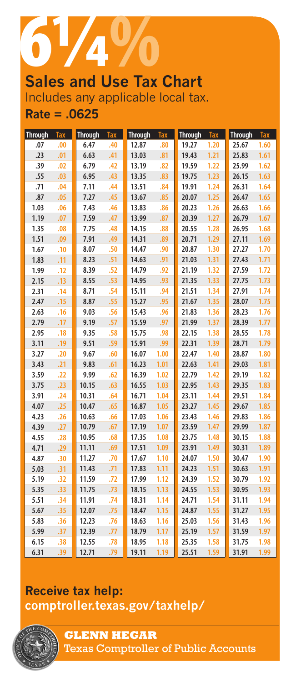

# Includes any applicable local tax. **Rate = .0625**

| <b>Through</b> | <b>Tax</b> | <b>Through</b> | <b>Tax</b> | <b>Through</b> | <b>Tax</b> | <b>Through</b> | Tax  | <b>Through</b> | <b>Tax</b> |
|----------------|------------|----------------|------------|----------------|------------|----------------|------|----------------|------------|
| .07            | .00        | 6.47           | .40        | 12.87          | .80        | 19.27          | 1.20 | 25.67          | 1.60       |
| .23            | .01        | 6.63           | .41        | 13.03          | .81        | 19.43          | 1.21 | 25.83          | 1.61       |
| .39            | .02        | 6.79           | .42        | 13.19          | .82        | 19.59          | 1.22 | 25.99          | 1.62       |
| .55            | .03        | 6.95           | .43        | 13.35          | .83        | 19.75          | 1.23 | 26.15          | 1.63       |
| .71            | .04        | 7.11           | .44        | 13.51          | .84        | 19.91          | 1.24 | 26.31          | 1.64       |
| .87            | .05        | 7.27           | .45        | 13.67          | .85        | 20.07          | 1.25 | 26.47          | 1.65       |
| 1.03           | .06        | 7.43           | .46        | 13.83          | .86        | 20.23          | 1.26 | 26.63          | 1.66       |
| 1.19           | .07        | 7.59           | .47        | 13.99          | .87        | 20.39          | 1.27 | 26.79          | 1.67       |
| 1.35           | .08        | 7.75           | .48        | 14.15          | .88        | 20.55          | 1.28 | 26.95          | 1.68       |
| 1.51           | .09        | 7.91           | .49        | 14.31          | .89        | 20.71          | 1.29 | 27.11          | 1.69       |
| 1.67           | .10        | 8.07           | .50        | 14.47          | .90        | 20.87          | 1.30 | 27.27          | 1.70       |
| 1.83           | .11        | 8.23           | .51        | 14.63          | .91        | 21.03          | 1.31 | 27.43          | 1.71       |
| 1.99           | .12        | 8.39           | .52        | 14.79          | .92        | 21.19          | 1.32 | 27.59          | 1.72       |
| 2.15           | .13        | 8.55           | .53        | 14.95          | .93        | 21.35          | 1.33 | 27.75          | 1.73       |
| 2.31           | .14        | 8.71           | .54        | 15.11          | .94        | 21.51          | 1.34 | 27.91          | 1.74       |
| 2.47           | .15        | 8.87           | .55        | 15.27          | .95        | 21.67          | 1.35 | 28.07          | 1.75       |
| 2.63           | .16        | 9.03           | .56        | 15.43          | .96        | 21.83          | 1.36 | 28.23          | 1.76       |
| 2.79           | .17        | 9.19           | .57        | 15.59          | .97        | 21.99          | 1.37 | 28.39          | 1.77       |
| 2.95           | .18        | 9.35           | .58        | 15.75          | .98        | 22.15          | 1.38 | 28.55          | 1.78       |
| 3.11           | .19        | 9.51           | .59        | 15.91          | .99        | 22.31          | 1.39 | 28.71          | 1.79       |
| 3.27           | .20        | 9.67           | .60        | 16.07          | 1.00       | 22.47          | 1.40 | 28.87          | 1.80       |
| 3.43           | .21        | 9.83           | .61        | 16.23          | 1.01       | 22.63          | 1.41 | 29.03          | 1.81       |
| 3.59           | .22        | 9.99           | .62        | 16.39          | 1.02       | 22.79          | 1.42 | 29.19          | 1.82       |
| 3.75           | .23        | 10.15          | .63        | 16.55          | 1.03       | 22.95          | 1.43 | 29.35          | 1.83       |
| 3.91           | .24        | 10.31          | .64        | 16.71          | 1.04       | 23.11          | 1.44 | 29.51          | 1.84       |
| 4.07           | .25        | 10.47          | .65        | 16.87          | 1.05       | 23.27          | 1.45 | 29.67          | 1.85       |
| 4.23           | .26        | 10.63          | .66        | 17.03          | 1.06       | 23.43          | 1.46 | 29.83          | 1.86       |
| 4.39           | .27        | 10.79          | .67        | 17.19          | 1.07       | 23.59          | 1.47 | 29.99          | 1.87       |
| 4.55           | .28        | 10.95          | .68        | 17.35          | 1.08       | 23.75          | 1.48 | 30.15          | 1.88       |
| 4.71           | .29        | 11.11          | .69        | 17.51          | 1.09       | 23.91          | 1.49 | 30.31          | 1.89       |
| 4.87           | .30        | 11.27          | .70        | 17.67          | 1.10       | 24.07          | 1.50 | 30.47          | 1.90       |
| 5.03           | .31        | 11.43          | .71        | 17.83          | 1.11       | 24.23          | 1.51 | 30.63          | 1.91       |
| 5.19           | .32        | 11.59          | .72        | 17.99          | 1.12       | 24.39          | 1.52 | 30.79          | 1.92       |
| 5.35           | .33        | 11.75          | .73        | 18.15          | 1.13       | 24.55          | 1.53 | 30.95          | 1.93       |
| 5.51           | .34        | 11.91          | .74        | 18.31          | 1.14       | 24.71          | 1.54 | 31.11          | 1.94       |
| 5.67           | .35        | 12.07          | .75        | 18.47          | 1.15       | 24.87          | 1.55 | 31.27          | 1.95       |
| 5.83           | .36        | 12.23          | .76        | 18.63          | 1.16       | 25.03          | 1.56 | 31.43          | 1.96       |
| 5.99           | .37        | 12.39          | .77        | 18.79          | 1.17       | 25.19          | 1.57 | 31.59          | 1.97       |
| 6.15           | .38        | 12.55          | .78        | 18.95          | 1.18       | 25.35          | 1.58 | 31.75          | 1.98       |
| 6.31           | .39        | 12.71          | .79        | 19.11          | 1.19       | 25.51          | 1.59 | 31.91          | 1.99       |

## **Receive tax help: <comptroller.texas.gov/taxhelp/>**



Texas Comptroller of Public Accounts